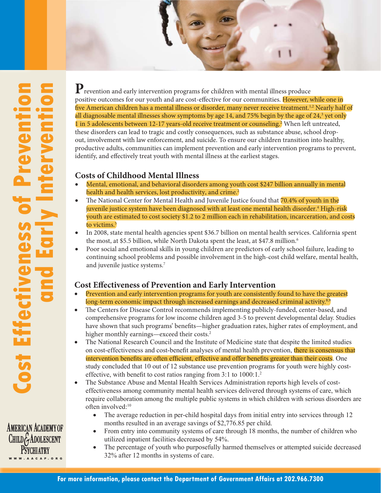

**AMERICAN ACADEMY OF** CHILD GADOLESCENT **PSYCHTATRY** W W W . A A C A P. O R G

P<sub>revention and early intervention programs for children with mental illness produce</sub> positive outcomes for our youth and are cost-effective for our communities. However, while one in five American children has a mental illness or disorder, many never receive treatment.<sup>1,2</sup> Nearly half of all diagnosable mental illnesses show symptoms by age 14, and 75% begin by the age of 24, $^3$  yet only 1 in 5 adolescents between 12-17 years-old receive treatment or counseling.<sup>3</sup> When left untreated, these disorders can lead to tragic and costly consequences, such as substance abuse, school dropout, involvement with law enforcement, and suicide. To ensure our children transition into healthy, productive adults, communities can implement prevention and early intervention programs to prevent, identify, and effectively treat youth with mental illness at the earliest stages.

## **Costs of Childhood Mental Illness**

- Mental, emotional, and behavioral disorders among youth cost \$247 billion annually in mental health and health services, lost productivity, and crime.<sup>2</sup>
- The National Center for Mental Health and Juvenile Justice found that  $70.4\%$  of youth in the juvenile justice system have been diagnosed with at least one mental health disorder. $^{\text{4}}$  High-risk youth are estimated to cost society \$1.2 to 2 million each in rehabilitation, incarceration, and costs to victims.<sup>5</sup>
- In 2008, state mental health agencies spent \$36.7 billion on mental health services. California spent the most, at \$5.5 billion, while North Dakota spent the least, at \$47.8 million.<sup>6</sup>
- Poor social and emotional skills in young children are predictors of early school failure, leading to continuing school problems and possible involvement in the high-cost child welfare, mental health, and juvenile justice systems.7

## **Cost E! ectiveness of Prevention and Early Intervention**

- Prevention and early intervention programs for youth are consistently found to have the greatest long-term economic impact through increased earnings and decreased criminal activity.<sup>8,9</sup>
- The Centers for Disease Control recommends implementing publicly-funded, center-based, and comprehensive programs for low income children aged 3-5 to prevent developmental delay. Studies have shown that such programs' benefits—higher graduation rates, higher rates of employment, and higher monthly earnings—exceed their costs.<sup>2</sup>
- The National Research Council and the Institute of Medicine state that despite the limited studies on cost-effectiveness and cost-benefit analyses of mental health prevention, there is consensus that intervention benefits are often efficient, effective and offer benefits greater than their costs. One study concluded that 10 out of 12 substance use prevention programs for youth were highly costeffective, with benefit to cost ratios ranging from  $3:1$  to  $1000:1$ .<sup>2</sup>
- The Substance Abuse and Mental Health Services Administration reports high levels of costeffectiveness among community mental health services delivered through systems of care, which require collaboration among the multiple public systems in which children with serious disorders are often involved $t^{10}$ 
	- The average reduction in per-child hospital days from initial entry into services through 12 months resulted in an average savings of \$2,776.85 per child.
	- From entry into community systems of care through 18 months, the number of children who utilized inpatient facilities decreased by 54%.
	- The percentage of youth who purposefully harmed themselves or attempted suicide decreased 32% after 12 months in systems of care.